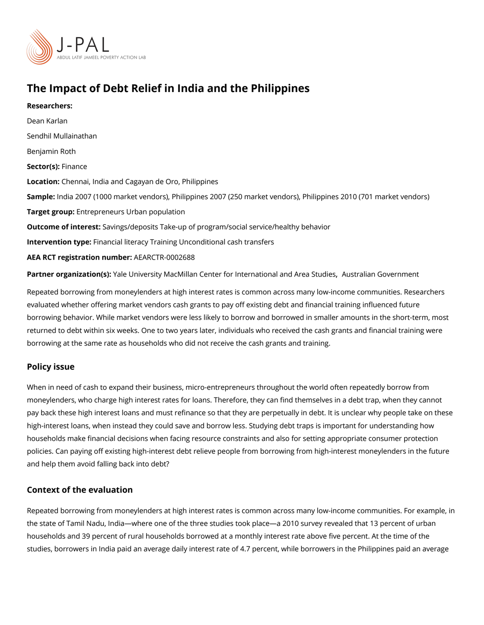# The Impact of Debt Relief in India and the Philippines

Researchers: [Dean Ka](https://www.povertyactionlab.org/person/karlan)rlan [Sendhil Mulla](https://www.povertyactionlab.org/person/mullainathan)inathan [Benjamin](https://www.povertyactionlab.org/person/roth) Roth Sector(Fsi)nance Locatioßhennai, India and Cagayan de Oro, Philippines Samplendia 2007 (1000 market vendors), Philippines 2007 (250 market vendors), Philippir Target groEptrepreneurs Urban population Outcome of inteSastngs/deposits Take-up of program/social service/healthy behavior Intervention typreancial literacy Training Unconditional cash transfers AEA RCT registration ArEuAnRbCeTR-0002688 Partner organizatYoan (s): Niversity MacMillan Center for Internat Alounsal and Arange Studies is

Repeated borrowing from moneylenders at high interest rates is common across many lowevaluated whether offering market vendors cash grants to pay off existing debt and financ borrowing behavior. While market vendors were less likely to borrow and borrowed in sma returned to debt within six weeks. One to two years later, individuals who received the ca borrowing at the same rate as households who did not receive the cash grants and trainin

### Policy issue

When in need of cash to expand their business, micro-entrepreneurs throughout the world moneylenders, who charge high interest rates for loans. Therefore, they can find themselv pay back these high interest loans and must refinance so that they are perpetually in deb high-interest loans, when instead they could save and borrow less. Studying debt traps is households make financial decisions when facing resource constraints and also for setting policies. Can paying off existing high-interest debt relieve people from borrowing from hi and help them avoid falling back into debt?

### Context of the evaluation

Repeated borrowing from moneylenders at high interest rates is common across many lowthe state of Tamil Nadu, India where one of the three studies took place a 2010 survey re households and 39 percent of rural households borrowed at a monthly interest rate above studies, borrowers in India paid an average daily interest rate of 4.7 percent, while borro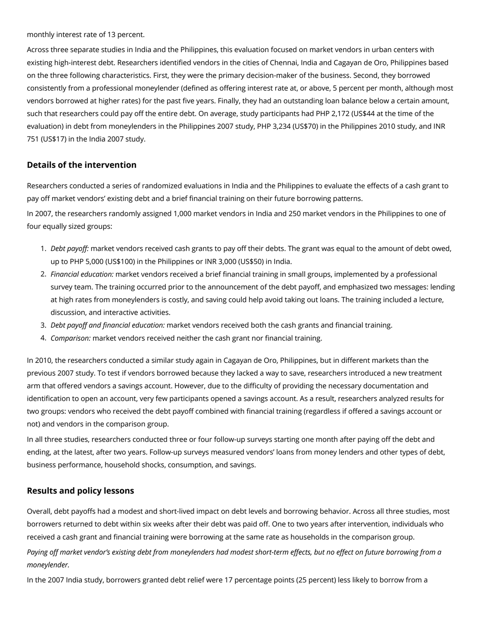monthly interest rate of 13 percent.

Across three separate studies in India and the Philippines, this evaluation focused on market vendors in urban centers with existing high-interest debt. Researchers identified vendors in the cities of Chennai, India and Cagayan de Oro, Philippines based on the three following characteristics. First, they were the primary decision-maker of the business. Second, they borrowed consistently from a professional moneylender (defined as offering interest rate at, or above, 5 percent per month, although most vendors borrowed at higher rates) for the past five years. Finally, they had an outstanding loan balance below a certain amount, such that researchers could pay off the entire debt. On average, study participants had PHP 2,172 (US\$44 at the time of the evaluation) in debt from moneylenders in the Philippines 2007 study, PHP 3,234 (US\$70) in the Philippines 2010 study, and INR 751 (US\$17) in the India 2007 study.

## **Details of the intervention**

Researchers conducted a series of randomized evaluations in India and the Philippines to evaluate the effects of a cash grant to pay off market vendors' existing debt and a brief financial training on their future borrowing patterns.

In 2007, the researchers randomly assigned 1,000 market vendors in India and 250 market vendors in the Philippines to one of four equally sized groups:

- 1. *Debt payoff:* market vendors received cash grants to pay off their debts. The grant was equal to the amount of debt owed, up to PHP 5,000 (US\$100) in the Philippines or INR 3,000 (US\$50) in India.
- 2. *Financial education:* market vendors received a brief financial training in small groups, implemented by a professional survey team. The training occurred prior to the announcement of the debt payoff, and emphasized two messages: lending at high rates from moneylenders is costly, and saving could help avoid taking out loans. The training included a lecture, discussion, and interactive activities.
- 3. *Debt payoff and financial education:* market vendors received both the cash grants and financial training.
- 4. *Comparison:* market vendors received neither the cash grant nor financial training.

In 2010, the researchers conducted a similar study again in Cagayan de Oro, Philippines, but in different markets than the previous 2007 study. To test if vendors borrowed because they lacked a way to save, researchers introduced a new treatment arm that offered vendors a savings account. However, due to the difficulty of providing the necessary documentation and identification to open an account, very few participants opened a savings account. As a result, researchers analyzed results for two groups: vendors who received the debt payoff combined with financial training (regardless if offered a savings account or not) and vendors in the comparison group.

In all three studies, researchers conducted three or four follow-up surveys starting one month after paying off the debt and ending, at the latest, after two years. Follow-up surveys measured vendors' loans from money lenders and other types of debt, business performance, household shocks, consumption, and savings.

### **Results and policy lessons**

Overall, debt payoffs had a modest and short-lived impact on debt levels and borrowing behavior. Across all three studies, most borrowers returned to debt within six weeks after their debt was paid off. One to two years after intervention, individuals who received a cash grant and financial training were borrowing at the same rate as households in the comparison group.

Paying off market vendor's existing debt from moneylenders had modest short-term effects, but no effect on future borrowing from a *moneylender.*

In the 2007 India study, borrowers granted debt relief were 17 percentage points (25 percent) less likely to borrow from a